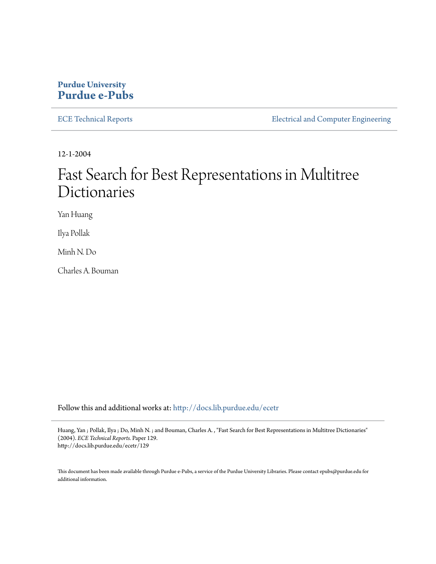### **Purdue University [Purdue e-Pubs](http://docs.lib.purdue.edu?utm_source=docs.lib.purdue.edu%2Fecetr%2F129&utm_medium=PDF&utm_campaign=PDFCoverPages)**

[ECE Technical Reports](http://docs.lib.purdue.edu/ecetr?utm_source=docs.lib.purdue.edu%2Fecetr%2F129&utm_medium=PDF&utm_campaign=PDFCoverPages) **ELECTE ELECTE ENGINEER** ELECTECAL and Computer Engineering

12-1-2004

# Fast Search for Best Representations in Multitree Dictionaries

Yan Huang

Ilya Pollak

Minh N. Do

Charles A. Bouman

Follow this and additional works at: [http://docs.lib.purdue.edu/ecetr](http://docs.lib.purdue.edu/ecetr?utm_source=docs.lib.purdue.edu%2Fecetr%2F129&utm_medium=PDF&utm_campaign=PDFCoverPages)

Huang, Yan ; Pollak, Ilya ; Do, Minh N. ; and Bouman, Charles A. , "Fast Search for Best Representations in Multitree Dictionaries" (2004). *ECE Technical Reports.* Paper 129. http://docs.lib.purdue.edu/ecetr/129

This document has been made available through Purdue e-Pubs, a service of the Purdue University Libraries. Please contact epubs@purdue.edu for additional information.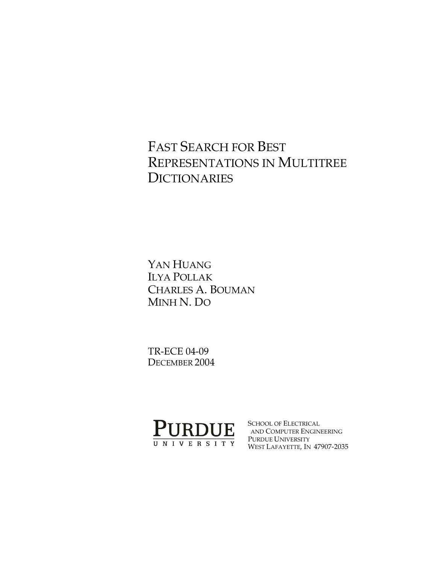### FAST SEARCH FOR BEST REPRESENTATIONS IN MULTITREE **DICTIONARIES**

YAN HUANG ILYA POLLAK CHARLES A. BOUMAN MINH N. DO

TR-ECE 04-09 DECEMBER 2004



SCHOOL OF ELECTRICAL AND COMPUTER ENGINEERING PURDUE UNIVERSITY WEST LAFAYETTE, IN 47907-2035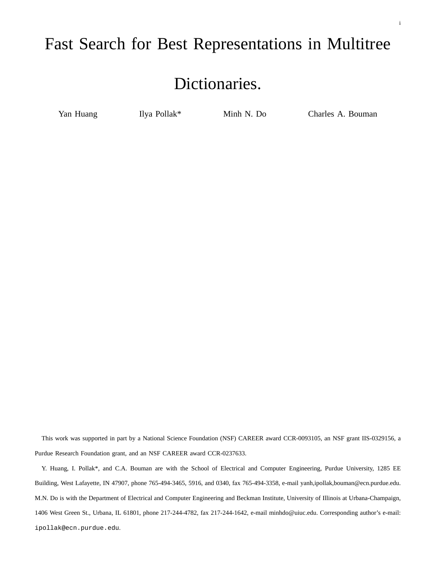### Fast Search for Best Representations in Multitree

# Dictionaries.

Yan Huang Ilya Pollak\* Minh N. Do Charles A. Bouman

This work was supported in part by a National Science Foundation (NSF) CAREER award CCR-0093105, an NSF grant IIS-0329156, a Purdue Research Foundation grant, and an NSF CAREER award CCR-0237633.

Y. Huang, I. Pollak\*, and C.A. Bouman are with the School of Electrical and Computer Engineering, Purdue University, 1285 EE Building, West Lafayette, IN 47907, phone 765-494-3465, 5916, and 0340, fax 765-494-3358, e-mail yanh,ipollak,bouman@ecn.purdue.edu. M.N. Do is with the Department of Electrical and Computer Engineering and Beckman Institute, University of Illinois at Urbana-Champaign, 1406 West Green St., Urbana, IL 61801, phone 217-244-4782, fax 217-244-1642, e-mail minhdo@uiuc.edu. Corresponding author's e-mail: ipollak@ecn.purdue.edu.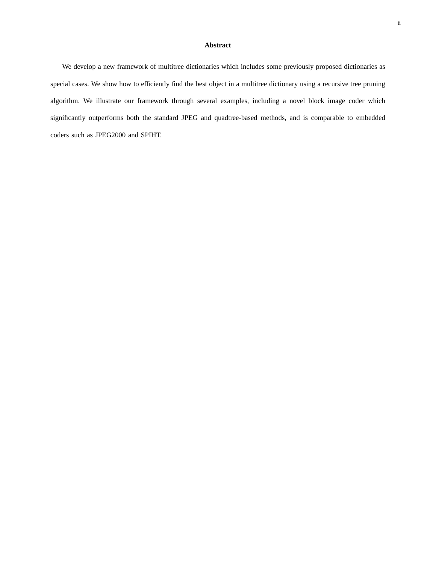#### **Abstract**

We develop a new framework of multitree dictionaries which includes some previously proposed dictionaries as special cases. We show how to efficiently find the best object in a multitree dictionary using a recursive tree pruning algorithm. We illustrate our framework through several examples, including a novel block image coder which significantly outperforms both the standard JPEG and quadtree-based methods, and is comparable to embedded coders such as JPEG2000 and SPIHT.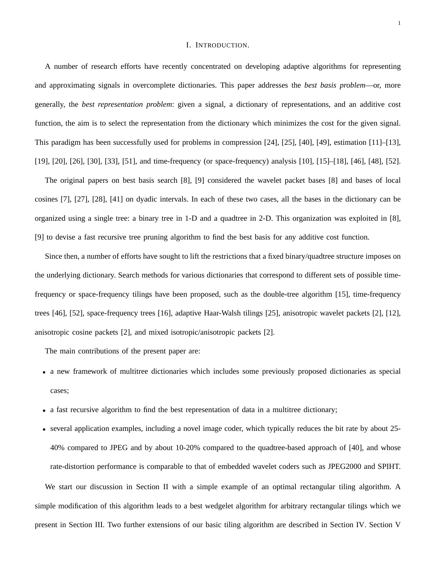#### I. INTRODUCTION.

A number of research efforts have recently concentrated on developing adaptive algorithms for representing and approximating signals in overcomplete dictionaries. This paper addresses the *best basis problem*—or, more generally, the *best representation problem*: given a signal, a dictionary of representations, and an additive cost function, the aim is to select the representation from the dictionary which minimizes the cost for the given signal. This paradigm has been successfully used for problems in compression [24], [25], [40], [49], estimation [11]–[13], [19], [20], [26], [30], [33], [51], and time-frequency (or space-frequency) analysis [10], [15]–[18], [46], [48], [52].

The original papers on best basis search [8], [9] considered the wavelet packet bases [8] and bases of local cosines [7], [27], [28], [41] on dyadic intervals. In each of these two cases, all the bases in the dictionary can be organized using a single tree: a binary tree in 1-D and a quadtree in 2-D. This organization was exploited in [8], [9] to devise a fast recursive tree pruning algorithm to find the best basis for any additive cost function.

Since then, a number of efforts have sought to lift the restrictions that a fixed binary/quadtree structure imposes on the underlying dictionary. Search methods for various dictionaries that correspond to different sets of possible timefrequency or space-frequency tilings have been proposed, such as the double-tree algorithm [15], time-frequency trees [46], [52], space-frequency trees [16], adaptive Haar-Walsh tilings [25], anisotropic wavelet packets [2], [12], anisotropic cosine packets [2], and mixed isotropic/anisotropic packets [2].

The main contributions of the present paper are:

- a new framework of multitree dictionaries which includes some previously proposed dictionaries as special cases;
- a fast recursive algorithm to find the best representation of data in a multitree dictionary;
- several application examples, including a novel image coder, which typically reduces the bit rate by about 25- 40% compared to JPEG and by about 10-20% compared to the quadtree-based approach of [40], and whose rate-distortion performance is comparable to that of embedded wavelet coders such as JPEG2000 and SPIHT. We start our discussion in Section II with a simple example of an optimal rectangular tiling algorithm. A simple modification of this algorithm leads to a best wedgelet algorithm for arbitrary rectangular tilings which we present in Section III. Two further extensions of our basic tiling algorithm are described in Section IV. Section V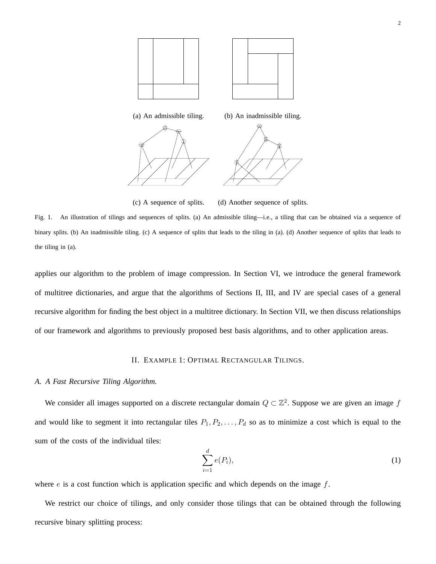

(c) A sequence of splits. (d) Another sequence of splits.

Fig. 1. An illustration of tilings and sequences of splits. (a) An admissible tiling—i.e., a tiling that can be obtained via a sequence of binary splits. (b) An inadmissible tiling. (c) A sequence of splits that leads to the tiling in (a). (d) Another sequence of splits that leads to the tiling in (a).

applies our algorithm to the problem of image compression. In Section VI, we introduce the general framework of multitree dictionaries, and argue that the algorithms of Sections II, III, and IV are special cases of a general recursive algorithm for finding the best object in a multitree dictionary. In Section VII, we then discuss relationships of our framework and algorithms to previously proposed best basis algorithms, and to other application areas.

### II. EXAMPLE 1: OPTIMAL RECTANGULAR TILINGS.

#### *A. A Fast Recursive Tiling Algorithm.*

We consider all images supported on a discrete rectangular domain  $Q \subset \mathbb{Z}^2$ . Suppose we are given an image f and would like to segment it into rectangular tiles  $P_1, P_2, \ldots, P_d$  so as to minimize a cost which is equal to the sum of the costs of the individual tiles:

$$
\sum_{i=1}^{d} e(P_i),\tag{1}
$$

where  $e$  is a cost function which is application specific and which depends on the image  $f$ .

We restrict our choice of tilings, and only consider those tilings that can be obtained through the following recursive binary splitting process: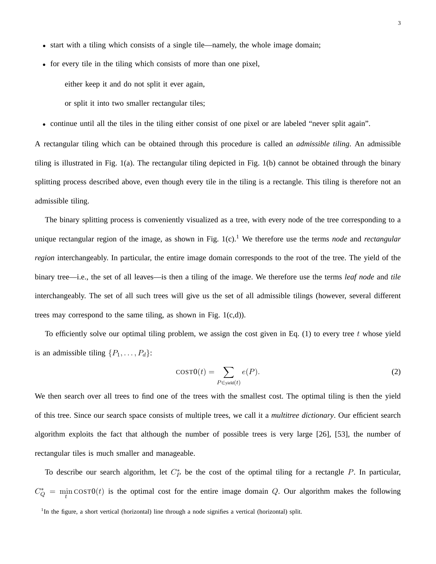- start with a tiling which consists of a single tile—namely, the whole image domain;
- for every tile in the tiling which consists of more than one pixel,

either keep it and do not split it ever again,

or split it into two smaller rectangular tiles;

• continue until all the tiles in the tiling either consist of one pixel or are labeled "never split again".

A rectangular tiling which can be obtained through this procedure is called an *admissible tiling*. An admissible tiling is illustrated in Fig. 1(a). The rectangular tiling depicted in Fig. 1(b) cannot be obtained through the binary splitting process described above, even though every tile in the tiling is a rectangle. This tiling is therefore not an admissible tiling.

The binary splitting process is conveniently visualized as a tree, with every node of the tree corresponding to a unique rectangular region of the image, as shown in Fig. 1(c).<sup>1</sup> We therefore use the terms *node* and *rectangular region* interchangeably. In particular, the entire image domain corresponds to the root of the tree. The yield of the binary tree—i.e., the set of all leaves—is then a tiling of the image. We therefore use the terms *leaf node* and *tile* interchangeably. The set of all such trees will give us the set of all admissible tilings (however, several different trees may correspond to the same tiling, as shown in Fig.  $1(c,d)$ ).

To efficiently solve our optimal tiling problem, we assign the cost given in Eq.  $(1)$  to every tree t whose yield is an admissible tiling  $\{P_1, \ldots, P_d\}$ :

$$
COST0(t) = \sum_{P \in \text{yield}(t)} e(P). \tag{2}
$$

We then search over all trees to find one of the trees with the smallest cost. The optimal tiling is then the yield of this tree. Since our search space consists of multiple trees, we call it a *multitree dictionary*. Our efficient search algorithm exploits the fact that although the number of possible trees is very large [26], [53], the number of rectangular tiles is much smaller and manageable.

To describe our search algorithm, let  $C_P^*$  be the cost of the optimal tiling for a rectangle P. In particular,  $C_Q^* = \min_t \cos(10t)$  is the optimal cost for the entire image domain Q. Our algorithm makes the following

<sup>&</sup>lt;sup>1</sup>In the figure, a short vertical (horizontal) line through a node signifies a vertical (horizontal) split.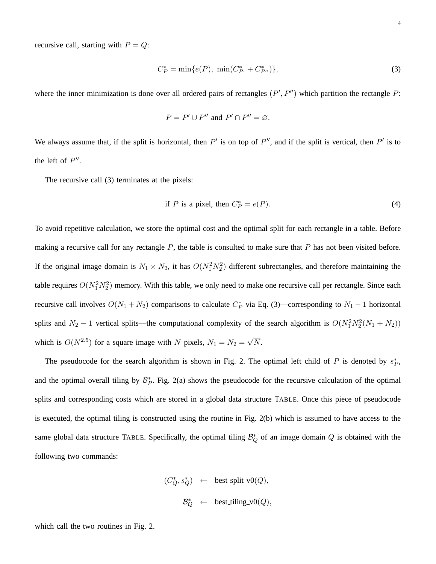recursive call, starting with  $P = Q$ :

$$
C_P^* = \min\{e(P), \ \min(C_{P'}^* + C_{P''}^*)\},\tag{3}
$$

where the inner minimization is done over all ordered pairs of rectangles  $(P', P'')$  which partition the rectangle P:

$$
P = P' \cup P'' \text{ and } P' \cap P'' = \varnothing.
$$

We always assume that, if the split is horizontal, then  $P'$  is on top of  $P''$ , and if the split is vertical, then  $P'$  is to the left of  $P''$ .

The recursive call (3) terminates at the pixels:

if P is a pixel, then 
$$
C_P^* = e(P)
$$
. (4)

To avoid repetitive calculation, we store the optimal cost and the optimal split for each rectangle in a table. Before making a recursive call for any rectangle  $P$ , the table is consulted to make sure that  $P$  has not been visited before. If the original image domain is  $N_1 \times N_2$ , it has  $O(N_1^2 N_2^2)$  different subrectangles, and therefore maintaining the table requires  $O(N_1^2 N_2^2)$  memory. With this table, we only need to make one recursive call per rectangle. Since each recursive call involves  $O(N_1 + N_2)$  comparisons to calculate  $C_P^*$  via Eq. (3)—corresponding to  $N_1 - 1$  horizontal splits and  $N_2 - 1$  vertical splits—the computational complexity of the search algorithm is  $O(N_1^2 N_2^2(N_1 + N_2))$ which is  $O(N^{2.5})$  for a square image with N pixels,  $N_1 = N_2 = \sqrt{N}$ .

The pseudocode for the search algorithm is shown in Fig. 2. The optimal left child of P is denoted by  $s_P^*$ , and the optimal overall tiling by  $\mathcal{B}_P^*$ . Fig. 2(a) shows the pseudocode for the recursive calculation of the optimal splits and corresponding costs which are stored in a global data structure TABLE. Once this piece of pseudocode is executed, the optimal tiling is constructed using the routine in Fig. 2(b) which is assumed to have access to the same global data structure TABLE. Specifically, the optimal tiling  $\mathcal{B}_Q^*$  of an image domain  $Q$  is obtained with the following two commands:

$$
\begin{array}{rcl} (C_Q^*,s_Q^*) & \leftarrow & \text{best\_split\_v0}(Q), \\\\ & B_Q^* & \leftarrow & \text{best\_tiling\_v0}(Q), \end{array}
$$

which call the two routines in Fig. 2.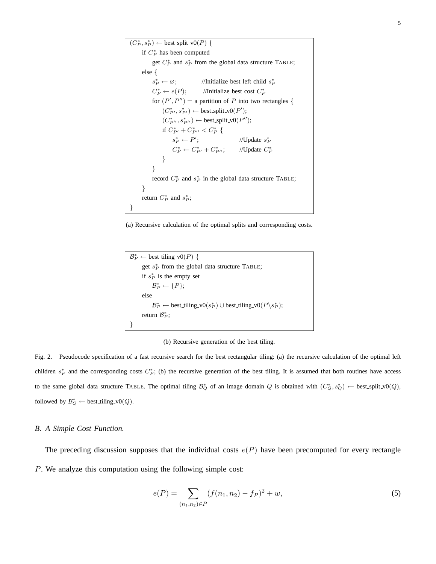```
(C_P^*, s_P^*) \leftarrow best split v0(P) {
      if C_P^* has been computed
           get C_P^* and s_P^* from the global data structure TABLE;
     else {
          s_P^* \leftarrow \varnothing;P_P^* \leftarrow \emptyset; //Initialize best left child s_P^*C_P^* \leftarrow e(P);P_P^* \leftarrow e(P); //Initialize best cost C_P^*for (P', P'') = a partition of P into two rectangles {
                (C_{P'}^*, s_{P'}^*) \leftarrow \text{best-split_v0}(P');(C_{P''}^*, s_{P''}^*) \leftarrow \text{best-split_v0}(P'');if C_{P'}^* + C_{P''}^* < C_P^* {
                     s_P^* \leftarrow P'; //Update s^*_{P}C_P^* \leftarrow C_{P'}^* + C_{P''}^*; //Update C_P^*}
          }
           record C_P^* and s_P^* in the global data structure TABLE;
     }
      return C_P^* and s_P^*;
}
```
(a) Recursive calculation of the optimal splits and corresponding costs.

```
\mathcal{B}_P^* \leftarrow best_tiling_v0(P) {
        get s_P^* from the global data structure TABLE;
        if s_P^* is the empty set
               \mathcal{B}^{\ast}_{P} \leftarrow \{P\};else
               \mathcal{B}_P^* \leftarrow best_tiling_v0(s<sup>*</sup><sub>P</sub>) \cup best_tiling_v0(P\s<sup>*</sup><sub>P</sub>);
        return \mathcal{B}_P^*;}
```
(b) Recursive generation of the best tiling.

Fig. 2. Pseudocode specification of a fast recursive search for the best rectangular tiling: (a) the recursive calculation of the optimal left children  $s_P^*$  and the corresponding costs  $C_P^*$ ; (b) the recursive generation of the best tiling. It is assumed that both routines have access to the same global data structure TABLE. The optimal tiling  $\mathcal{B}_Q^*$  of an image domain Q is obtained with  $(C_Q^*, s_Q^*)$  ← best\_split\_v0(Q), followed by  $\mathcal{B}_Q^*$  ← best\_tiling\_v0(*Q*).

#### *B. A Simple Cost Function.*

The preceding discussion supposes that the individual costs  $e(P)$  have been precomputed for every rectangle P. We analyze this computation using the following simple cost:

$$
e(P) = \sum_{(n_1, n_2) \in P} (f(n_1, n_2) - f_P)^2 + w,\tag{5}
$$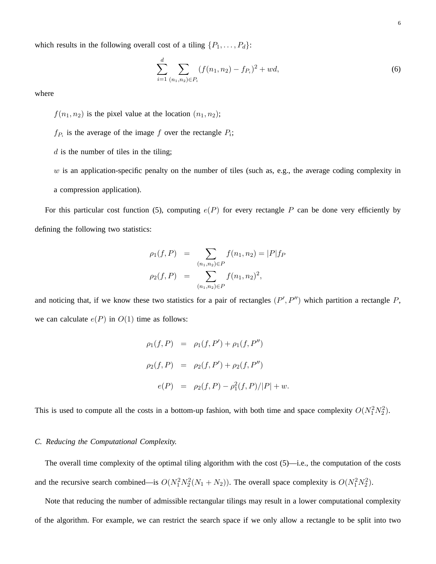which results in the following overall cost of a tiling  $\{P_1, \ldots, P_d\}$ :

$$
\sum_{i=1}^{d} \sum_{(n_1,n_2)\in P_i} (f(n_1,n_2) - f_{P_i})^2 + wd,
$$
\n(6)

where

 $f(n_1, n_2)$  is the pixel value at the location  $(n_1, n_2)$ ;

- $f_{P_i}$  is the average of the image f over the rectangle  $P_i$ ;
- $d$  is the number of tiles in the tiling;

 $w$  is an application-specific penalty on the number of tiles (such as, e.g., the average coding complexity in a compression application).

For this particular cost function (5), computing  $e(P)$  for every rectangle P can be done very efficiently by defining the following two statistics:

$$
\rho_1(f, P) = \sum_{(n_1, n_2) \in P} f(n_1, n_2) = |P|f_P
$$

$$
\rho_2(f, P) = \sum_{(n_1, n_2) \in P} f(n_1, n_2)^2,
$$

and noticing that, if we know these two statistics for a pair of rectangles  $(P', P'')$  which partition a rectangle P, we can calculate  $e(P)$  in  $O(1)$  time as follows:

$$
\rho_1(f, P) = \rho_1(f, P') + \rho_1(f, P'')
$$
  
\n
$$
\rho_2(f, P) = \rho_2(f, P') + \rho_2(f, P'')
$$
  
\n
$$
e(P) = \rho_2(f, P) - \rho_1^2(f, P)/|P| + w.
$$

This is used to compute all the costs in a bottom-up fashion, with both time and space complexity  $O(N_1^2N_2^2)$ .

#### *C. Reducing the Computational Complexity.*

The overall time complexity of the optimal tiling algorithm with the cost  $(5)$ —i.e., the computation of the costs and the recursive search combined—is  $O(N_1^2N_2^2(N_1 + N_2))$ . The overall space complexity is  $O(N_1^2N_2^2)$ .

Note that reducing the number of admissible rectangular tilings may result in a lower computational complexity of the algorithm. For example, we can restrict the search space if we only allow a rectangle to be split into two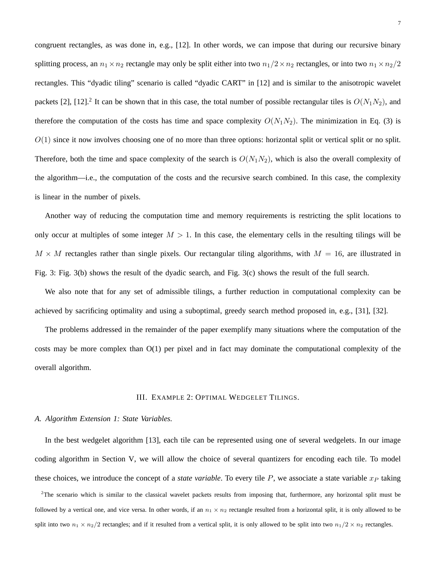congruent rectangles, as was done in, e.g., [12]. In other words, we can impose that during our recursive binary splitting process, an  $n_1 \times n_2$  rectangle may only be split either into two  $n_1/2 \times n_2$  rectangles, or into two  $n_1 \times n_2/2$ rectangles. This "dyadic tiling" scenario is called "dyadic CART" in [12] and is similar to the anisotropic wavelet packets [2], [12].<sup>2</sup> It can be shown that in this case, the total number of possible rectangular tiles is  $O(N_1N_2)$ , and therefore the computation of the costs has time and space complexity  $O(N_1N_2)$ . The minimization in Eq. (3) is  $O(1)$  since it now involves choosing one of no more than three options: horizontal split or vertical split or no split. Therefore, both the time and space complexity of the search is  $O(N_1N_2)$ , which is also the overall complexity of the algorithm—i.e., the computation of the costs and the recursive search combined. In this case, the complexity is linear in the number of pixels.

Another way of reducing the computation time and memory requirements is restricting the split locations to only occur at multiples of some integer  $M > 1$ . In this case, the elementary cells in the resulting tilings will be  $M \times M$  rectangles rather than single pixels. Our rectangular tiling algorithms, with  $M = 16$ , are illustrated in Fig. 3: Fig. 3(b) shows the result of the dyadic search, and Fig. 3(c) shows the result of the full search.

We also note that for any set of admissible tilings, a further reduction in computational complexity can be achieved by sacrificing optimality and using a suboptimal, greedy search method proposed in, e.g., [31], [32].

The problems addressed in the remainder of the paper exemplify many situations where the computation of the costs may be more complex than O(1) per pixel and in fact may dominate the computational complexity of the overall algorithm.

#### III. EXAMPLE 2: OPTIMAL WEDGELET TILINGS.

#### *A. Algorithm Extension 1: State Variables.*

In the best wedgelet algorithm [13], each tile can be represented using one of several wedgelets. In our image coding algorithm in Section V, we will allow the choice of several quantizers for encoding each tile. To model these choices, we introduce the concept of a *state variable*. To every tile  $P$ , we associate a state variable  $x_P$  taking

<sup>2</sup>The scenario which is similar to the classical wavelet packets results from imposing that, furthermore, any horizontal split must be followed by a vertical one, and vice versa. In other words, if an  $n_1 \times n_2$  rectangle resulted from a horizontal split, it is only allowed to be split into two  $n_1 \times n_2/2$  rectangles; and if it resulted from a vertical split, it is only allowed to be split into two  $n_1/2 \times n_2$  rectangles.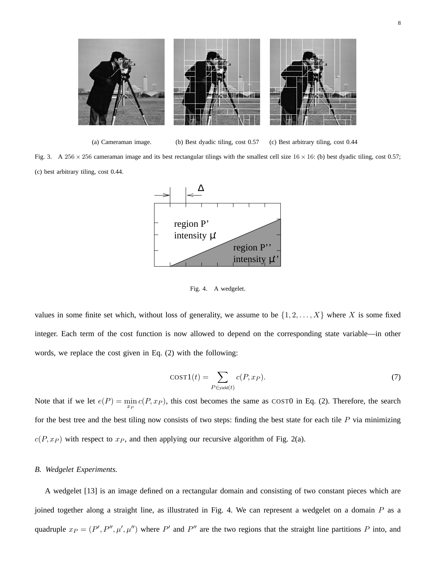

(a) Cameraman image. (b) Best dyadic tiling, cost 0.57 (c) Best arbitrary tiling, cost 0.44

Fig. 3. A 256  $\times$  256 cameraman image and its best rectangular tilings with the smallest cell size 16  $\times$  16: (b) best dyadic tiling, cost 0.57; (c) best arbitrary tiling, cost 0.44.



Fig. 4. A wedgelet.

values in some finite set which, without loss of generality, we assume to be  $\{1, 2, ..., X\}$  where X is some fixed integer. Each term of the cost function is now allowed to depend on the corresponding state variable—in other words, we replace the cost given in Eq. (2) with the following:

$$
cost1(t) = \sum_{P \in yield(t)} c(P, x_P).
$$
\n(7)

Note that if we let  $e(P) = \min_{x_P} c(P, x_P)$ , this cost becomes the same as COST0 in Eq. (2). Therefore, the search for the best tree and the best tiling now consists of two steps: finding the best state for each tile  $P$  via minimizing  $c(P, x_P)$  with respect to  $x_P$ , and then applying our recursive algorithm of Fig. 2(a).

#### *B. Wedgelet Experiments.*

A wedgelet [13] is an image defined on a rectangular domain and consisting of two constant pieces which are joined together along a straight line, as illustrated in Fig. 4. We can represent a wedgelet on a domain P as a quadruple  $x_P = (P', P'', \mu', \mu'')$  where P' and P'' are the two regions that the straight line partitions P into, and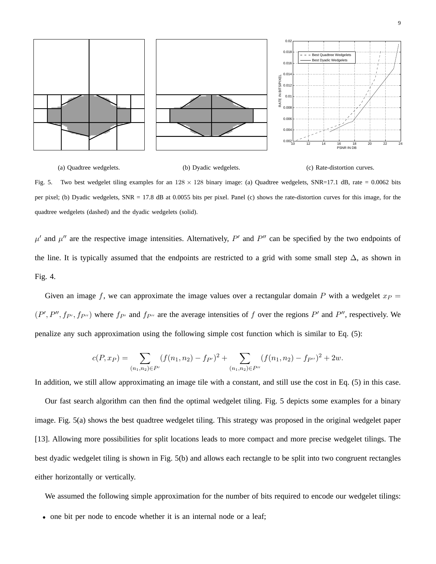

(a) Quadtree wedgelets. (b) Dyadic wedgelets. (c) Rate-distortion curves. Fig. 5. Two best wedgelet tiling examples for an  $128 \times 128$  binary image: (a) Quadtree wedgelets, SNR=17.1 dB, rate = 0.0062 bits per pixel; (b) Dyadic wedgelets, SNR = 17.8 dB at 0.0055 bits per pixel. Panel (c) shows the rate-distortion curves for this image, for the quadtree wedgelets (dashed) and the dyadic wedgelets (solid).

 $\mu'$  and  $\mu''$  are the respective image intensities. Alternatively, P' and P'' can be specified by the two endpoints of the line. It is typically assumed that the endpoints are restricted to a grid with some small step  $\Delta$ , as shown in Fig. 4.

Given an image f, we can approximate the image values over a rectangular domain P with a wedgelet  $x_P =$  $(P', P'', f_{P'}, f_{P''})$  where  $f_{P'}$  and  $f_{P''}$  are the average intensities of f over the regions  $P'$  and  $P''$ , respectively. We penalize any such approximation using the following simple cost function which is similar to Eq. (5):

$$
c(P, x_P) = \sum_{(n_1, n_2) \in P'} (f(n_1, n_2) - f_{P'})^2 + \sum_{(n_1, n_2) \in P''} (f(n_1, n_2) - f_{P''})^2 + 2w.
$$

In addition, we still allow approximating an image tile with a constant, and still use the cost in Eq. (5) in this case.

Our fast search algorithm can then find the optimal wedgelet tiling. Fig. 5 depicts some examples for a binary image. Fig. 5(a) shows the best quadtree wedgelet tiling. This strategy was proposed in the original wedgelet paper [13]. Allowing more possibilities for split locations leads to more compact and more precise wedgelet tilings. The best dyadic wedgelet tiling is shown in Fig. 5(b) and allows each rectangle to be split into two congruent rectangles either horizontally or vertically.

We assumed the following simple approximation for the number of bits required to encode our wedgelet tilings:

• one bit per node to encode whether it is an internal node or a leaf;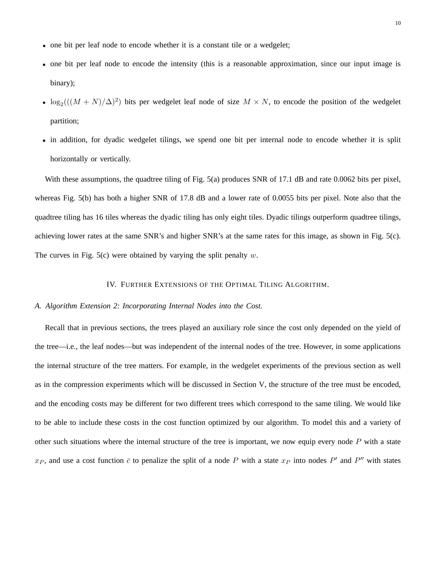- one bit per leaf node to encode whether it is a constant tile or a wedgelet;
- one bit per leaf node to encode the intensity (this is a reasonable approximation, since our input image is binary);
- $\log_2((M+N)/\Delta)^2$ ) bits per wedgelet leaf node of size  $M \times N$ , to encode the position of the wedgelet partition;
- in addition, for dyadic wedgelet tilings, we spend one bit per internal node to encode whether it is split horizontally or vertically.

With these assumptions, the quadtree tiling of Fig. 5(a) produces SNR of 17.1 dB and rate 0.0062 bits per pixel, whereas Fig. 5(b) has both a higher SNR of 17.8 dB and a lower rate of 0.0055 bits per pixel. Note also that the quadtree tiling has 16 tiles whereas the dyadic tiling has only eight tiles. Dyadic tilings outperform quadtree tilings, achieving lower rates at the same SNR's and higher SNR's at the same rates for this image, as shown in Fig. 5(c). The curves in Fig.  $5(c)$  were obtained by varying the split penalty w.

#### IV. FURTHER EXTENSIONS OF THE OPTIMAL TILING ALGORITHM.

#### *A. Algorithm Extension 2: Incorporating Internal Nodes into the Cost.*

Recall that in previous sections, the trees played an auxiliary role since the cost only depended on the yield of the tree—i.e., the leaf nodes—but was independent of the internal nodes of the tree. However, in some applications the internal structure of the tree matters. For example, in the wedgelet experiments of the previous section as well as in the compression experiments which will be discussed in Section V, the structure of the tree must be encoded, and the encoding costs may be different for two different trees which correspond to the same tiling. We would like to be able to include these costs in the cost function optimized by our algorithm. To model this and a variety of other such situations where the internal structure of the tree is important, we now equip every node  $P$  with a state  $x_P$ , and use a cost function  $\bar{c}$  to penalize the split of a node P with a state  $x_P$  into nodes P' and P'' with states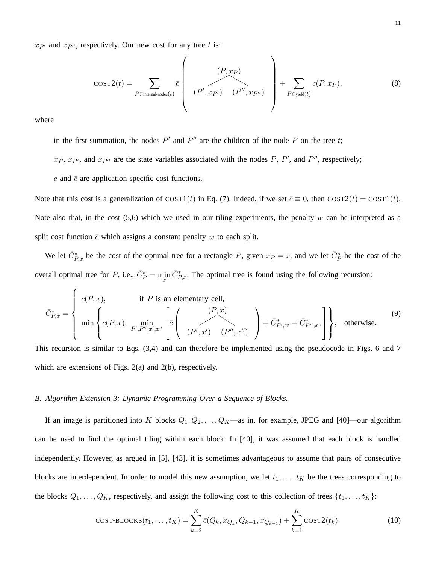$x_{P'}$  and  $x_{P''}$ , respectively. Our new cost for any tree t is:

$$
COST2(t) = \sum_{P \in internal\text{-nodes}(t)} \overline{c} \left( \begin{array}{c} (P, x_P) \\ (P', x_{P'}) \\ (P'', x_{P'}) \end{array} \right) + \sum_{P \in yield(t)} c(P, x_P), \tag{8}
$$

where

in the first summation, the nodes  $P'$  and  $P''$  are the children of the node P on the tree t;

 $x_P$ ,  $x_{P}$ , and  $x_{P}$  are the state variables associated with the nodes P, P', and P'', respectively;

 $c$  and  $\bar{c}$  are application-specific cost functions.

Note that this cost is a generalization of COST1(t) in Eq. (7). Indeed, if we set  $\bar{c} \equiv 0$ , then COST2(t) = COST1(t). Note also that, in the cost  $(5,6)$  which we used in our tiling experiments, the penalty w can be interpreted as a split cost function  $\bar{c}$  which assigns a constant penalty w to each split.

We let  $\bar{C}_{P,x}^*$  be the cost of the optimal tree for a rectangle P, given  $x_P = x$ , and we let  $\bar{C}_P^*$  be the cost of the overall optimal tree for P, i.e.,  $\bar{C}_P^* = \min_x \bar{C}_{P,x}^*$ . The optimal tree is found using the following recursion:

$$
\bar{C}_{P,x}^{*} = \left\{ \begin{array}{ll} c(P,x), & \text{if } P \text{ is an elementary cell,} \\ \min \left\{ c(P,x), \min_{P',P'',x',x''} \left[ \bar{c} \left( \frac{(P,x)}{(P',x')}(P'',x'') \right) + \bar{C}_{P',x'}^{*} + \bar{C}_{P'',x''}^{*} \right] \right\}, & \text{otherwise.} \end{array} \right. \tag{9}
$$

This recursion is similar to Eqs. (3,4) and can therefore be implemented using the pseudocode in Figs. 6 and 7 which are extensions of Figs. 2(a) and 2(b), respectively.

#### *B. Algorithm Extension 3: Dynamic Programming Over a Sequence of Blocks.*

If an image is partitioned into K blocks  $Q_1, Q_2, \ldots, Q_K$ —as in, for example, JPEG and [40]—our algorithm can be used to find the optimal tiling within each block. In [40], it was assumed that each block is handled independently. However, as argued in [5], [43], it is sometimes advantageous to assume that pairs of consecutive blocks are interdependent. In order to model this new assumption, we let  $t_1, \ldots, t_K$  be the trees corresponding to the blocks  $Q_1, \ldots, Q_K$ , respectively, and assign the following cost to this collection of trees  $\{t_1, \ldots, t_K\}$ :

$$
\text{COST-BLOCKS}(t_1, \dots, t_K) = \sum_{k=2}^K \bar{\bar{c}}(Q_k, x_{Q_k}, Q_{k-1}, x_{Q_{k-1}}) + \sum_{k=1}^K \text{COST2}(t_k). \tag{10}
$$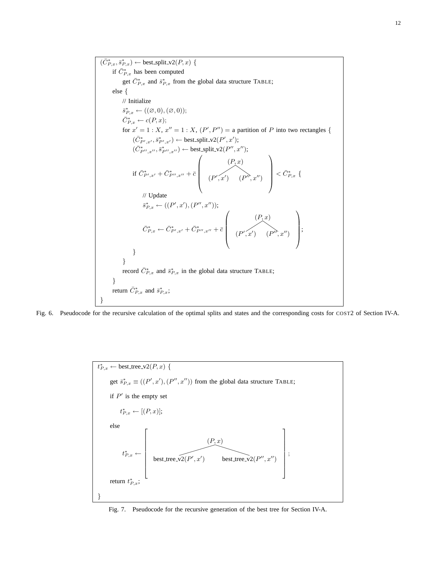$(C_{P,x}^*, \bar{s}_{P,x}^*) \leftarrow \text{best-split_v2}(P, x)$  { if  $C_{P,x}^*$  has been computed get  $\overline{C}_{P,x}^*$  and  $\overline{s}_{P,x}^*$  from the global data structure TABLE; else { // Initialize  $\overline{s}_{P,x}^* \leftarrow ((\varnothing,0),(\varnothing,0));$  $C_{P,x}^* \leftarrow c(P,x);$ for  $x' = 1: X$ ,  $x'' = 1: X$ ,  $(P', P'') =$  a partition of P into two rectangles {  $(C^*_{P',x'}, \overline{s}^*_{P',x'}) \leftarrow \text{best-split_v2}(P', x');$  $(C^*_{P'',x''}, \overline{s}_{P'',x''}^*) \leftarrow \text{best.split_v2}(P'', x'');$ if  $C^*_{P',x'} + C^*_{P'',x''} + \bar{c}$  $\sqrt{2}$  $\left| \begin{array}{c} \end{array} \right|$  $(x') (P'', x'')$  $(P, x)$  $\vert < \bar{C}_{P, x}^*$  { // Update  $\bar{s}_{P,x}^* \leftarrow ((P',x'),(P'',x''));$  $C_{P,x}^* \leftarrow C_{P',x'}^* + C_{P'',x''}^* + \bar{c}$  $\sqrt{2}$  $\left| \begin{array}{c} \end{array} \right|$  $(x')$   $(P'', x'')$  $(P, x)$  $\left| \cdot \right|$ } } record  $C_{P,x}^*$  and  $\bar{s}_{P,x}^*$  in the global data structure TABLE; } return  $C_{P,x}^*$  and  $\bar{s}_{P,x}^*$ ; }

Fig. 6. Pseudocode for the recursive calculation of the optimal splits and states and the corresponding costs for COST2 of Section IV-A.

$$
t_{P,x}^{*} \leftarrow \text{best-tree_v2}(P, x) \{ \\ \text{get } \bar{s}_{P,x}^{*} \equiv ((P', x'), (P'', x'')) \text{ from the global data structure TABLE;} \\ \text{if } P' \text{ is the empty set} \\ t_{P,x}^{*} \leftarrow [(P, x)]; \\ \text{else} \\ t_{P,x}^{*} \leftarrow \left[ \left( \frac{(P, x)}{\text{best-tree_v2}(P', x')} \right) \right] \text{best-tree_v2}(P'', x'') \right] \\ \text{return } t_{P,x}^{*};
$$

Fig. 7. Pseudocode for the recursive generation of the best tree for Section IV-A.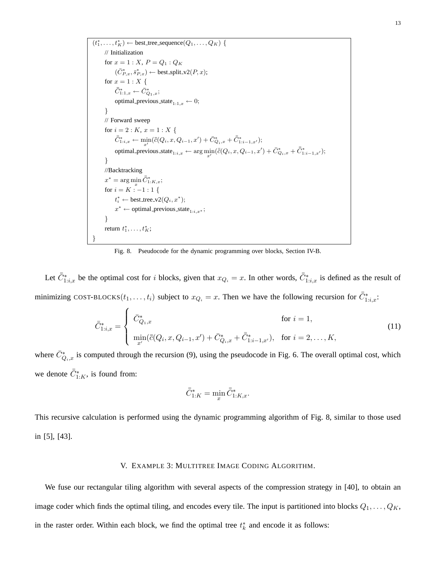$(t_1^*,...,t_K^*) \leftarrow$  best\_tree\_sequence $(Q_1,...,Q_K)$  { // Initialization for  $x=1: X, \, P=Q_1: Q_K$  $(\bar{C}_{P,x}^*, \bar{s}_{P,x}^*) \leftarrow \text{best-split_v2}(P, x);$ for  $x = 1 : X \{$  $C_{1:1,x}^* \leftarrow C_{Q_1,x}^*$ ; optimal previous state $_{1:1,x} \leftarrow 0;$ } // Forward sweep for  $i = 2: K$ ,  $x = 1: X$  {  $C_{1:i,x}^* \leftarrow \min_{x'}(\bar{c}(Q_i, x, Q_{i-1}, x') + C_{Q_i,x}^* + C_{1:i-1,x'}^*);$ optimal\_previous\_state<sub>1:i,x</sub> ← arg  $\min_{x'}(\overline{c}(Q_i, x, Q_{i-1}, x') + C^*_{Q_i,x} + C^*_{1:i-1,x'});$ } //Backtracking  $x^* = \arg\min_x C_1^*$  $1:K,x;$ for  $i = K : -1 : 1 \{$  $t_i^* \leftarrow \text{best-tree_v2}(Q_i, x^*);$  $x^* \leftarrow$  optimal\_previous\_state<sub>1:i,x</sub>\*; } return  $t_1^*, \ldots, t_K^*;$ }

Fig. 8. Pseudocode for the dynamic programming over blocks, Section IV-B.

Let  $\bar{C}_{1:i,x}^*$  be the optimal cost for *i* blocks, given that  $x_{Q_i} = x$ . In other words,  $\bar{C}_{1:i,x}^*$  is defined as the result of minimizing COST-BLOCKS $(t_1,...,t_i)$  subject to  $x_{Q_i} = x$ . Then we have the following recursion for  $\bar{C}^*_{1:i,x}$ :

$$
\bar{C}_{1:i,x}^{*} = \begin{cases}\n\bar{C}_{Q_{1},x}^{*} & \text{for } i = 1, \\
\min_{x'} (\bar{c}(Q_{i}, x, Q_{i-1}, x') + \bar{C}_{Q_{i},x}^{*} + \bar{C}_{1:i-1,x'}^{*}), & \text{for } i = 2, \dots, K,\n\end{cases}
$$
\n(11)

where  $\bar{C}_{Q_i,x}^*$  is computed through the recursion (9), using the pseudocode in Fig. 6. The overall optimal cost, which we denote  $\bar{C}_{1:K}^*$ , is found from:

$$
\bar{\bar{C}}_{1:K}^* = \min_x \bar{\bar{C}}_{1:K,x}^*.
$$

This recursive calculation is performed using the dynamic programming algorithm of Fig. 8, similar to those used in [5], [43].

### V. EXAMPLE 3: MULTITREE IMAGE CODING ALGORITHM.

We fuse our rectangular tiling algorithm with several aspects of the compression strategy in [40], to obtain an image coder which finds the optimal tiling, and encodes every tile. The input is partitioned into blocks  $Q_1, \ldots, Q_K$ , in the raster order. Within each block, we find the optimal tree  $t_k^*$  and encode it as follows: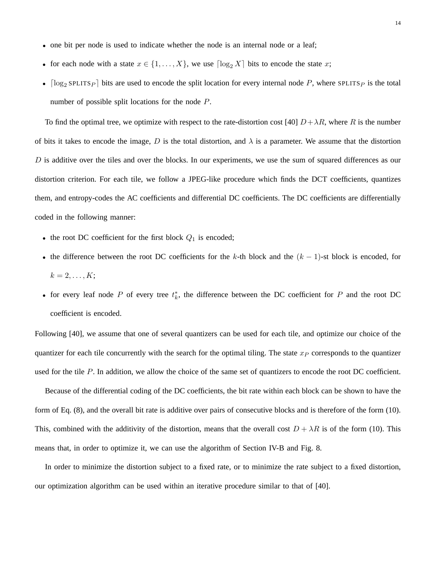- one bit per node is used to indicate whether the node is an internal node or a leaf;
- for each node with a state  $x \in \{1, \ldots, X\}$ , we use  $\lceil \log_2 X \rceil$  bits to encode the state x;
- $\lceil \log_2 \text{SPLITS}_P \rceil$  bits are used to encode the split location for every internal node P, where SPLITSP is the total number of possible split locations for the node P.

To find the optimal tree, we optimize with respect to the rate-distortion cost [40]  $D + \lambda R$ , where R is the number of bits it takes to encode the image, D is the total distortion, and  $\lambda$  is a parameter. We assume that the distortion  $D$  is additive over the tiles and over the blocks. In our experiments, we use the sum of squared differences as our distortion criterion. For each tile, we follow a JPEG-like procedure which finds the DCT coefficients, quantizes them, and entropy-codes the AC coefficients and differential DC coefficients. The DC coefficients are differentially coded in the following manner:

- the root DC coefficient for the first block  $Q_1$  is encoded;
- the difference between the root DC coefficients for the k-th block and the  $(k 1)$ -st block is encoded, for  $k = 2, \ldots, K;$
- for every leaf node P of every tree  $t_k^*$ , the difference between the DC coefficient for P and the root DC coefficient is encoded.

Following [40], we assume that one of several quantizers can be used for each tile, and optimize our choice of the quantizer for each tile concurrently with the search for the optimal tiling. The state  $x_P$  corresponds to the quantizer used for the tile  $P$ . In addition, we allow the choice of the same set of quantizers to encode the root DC coefficient.

Because of the differential coding of the DC coefficients, the bit rate within each block can be shown to have the form of Eq. (8), and the overall bit rate is additive over pairs of consecutive blocks and is therefore of the form (10). This, combined with the additivity of the distortion, means that the overall cost  $D + \lambda R$  is of the form (10). This means that, in order to optimize it, we can use the algorithm of Section IV-B and Fig. 8.

In order to minimize the distortion subject to a fixed rate, or to minimize the rate subject to a fixed distortion, our optimization algorithm can be used within an iterative procedure similar to that of [40].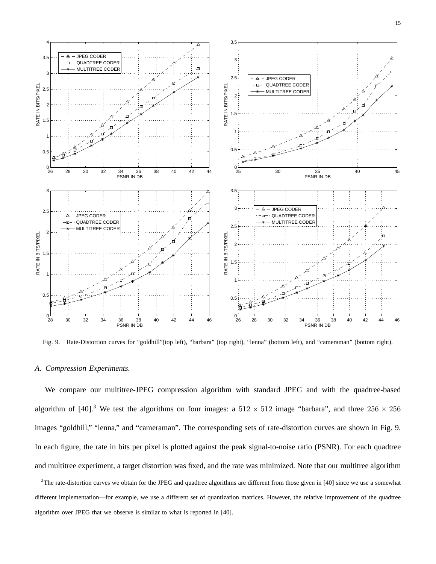

Fig. 9. Rate-Distortion curves for "goldhill"(top left), "barbara" (top right), "lenna" (bottom left), and "cameraman" (bottom right).

#### *A. Compression Experiments.*

We compare our multitree-JPEG compression algorithm with standard JPEG and with the quadtree-based algorithm of [40].<sup>3</sup> We test the algorithms on four images: a  $512 \times 512$  image "barbara", and three  $256 \times 256$ images "goldhill," "lenna," and "cameraman". The corresponding sets of rate-distortion curves are shown in Fig. 9. In each figure, the rate in bits per pixel is plotted against the peak signal-to-noise ratio (PSNR). For each quadtree and multitree experiment, a target distortion was fixed, and the rate was minimized. Note that our multitree algorithm

 $3$ The rate-distortion curves we obtain for the JPEG and quadtree algorithms are different from those given in [40] since we use a somewhat different implementation—for example, we use a different set of quantization matrices. However, the relative improvement of the quadtree algorithm over JPEG that we observe is similar to what is reported in [40].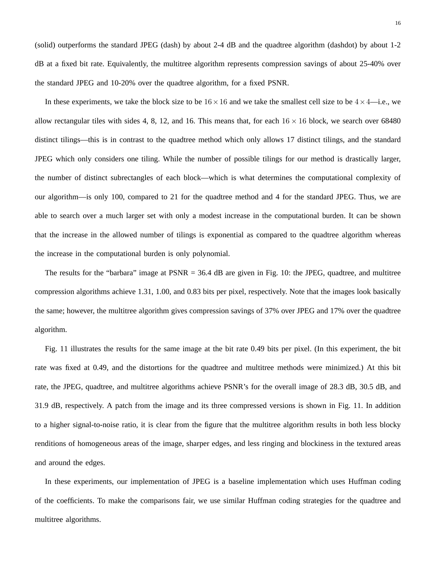(solid) outperforms the standard JPEG (dash) by about 2-4 dB and the quadtree algorithm (dashdot) by about 1-2 dB at a fixed bit rate. Equivalently, the multitree algorithm represents compression savings of about 25-40% over the standard JPEG and 10-20% over the quadtree algorithm, for a fixed PSNR.

In these experiments, we take the block size to be  $16 \times 16$  and we take the smallest cell size to be  $4 \times 4$ —i.e., we allow rectangular tiles with sides 4, 8, 12, and 16. This means that, for each  $16 \times 16$  block, we search over 68480 distinct tilings—this is in contrast to the quadtree method which only allows 17 distinct tilings, and the standard JPEG which only considers one tiling. While the number of possible tilings for our method is drastically larger, the number of distinct subrectangles of each block—which is what determines the computational complexity of our algorithm—is only 100, compared to 21 for the quadtree method and 4 for the standard JPEG. Thus, we are able to search over a much larger set with only a modest increase in the computational burden. It can be shown that the increase in the allowed number of tilings is exponential as compared to the quadtree algorithm whereas the increase in the computational burden is only polynomial.

The results for the "barbara" image at PSNR = 36.4 dB are given in Fig. 10: the JPEG, quadtree, and multitree compression algorithms achieve 1.31, 1.00, and 0.83 bits per pixel, respectively. Note that the images look basically the same; however, the multitree algorithm gives compression savings of 37% over JPEG and 17% over the quadtree algorithm.

Fig. 11 illustrates the results for the same image at the bit rate 0.49 bits per pixel. (In this experiment, the bit rate was fixed at 0.49, and the distortions for the quadtree and multitree methods were minimized.) At this bit rate, the JPEG, quadtree, and multitree algorithms achieve PSNR's for the overall image of 28.3 dB, 30.5 dB, and 31.9 dB, respectively. A patch from the image and its three compressed versions is shown in Fig. 11. In addition to a higher signal-to-noise ratio, it is clear from the figure that the multitree algorithm results in both less blocky renditions of homogeneous areas of the image, sharper edges, and less ringing and blockiness in the textured areas and around the edges.

In these experiments, our implementation of JPEG is a baseline implementation which uses Huffman coding of the coefficients. To make the comparisons fair, we use similar Huffman coding strategies for the quadtree and multitree algorithms.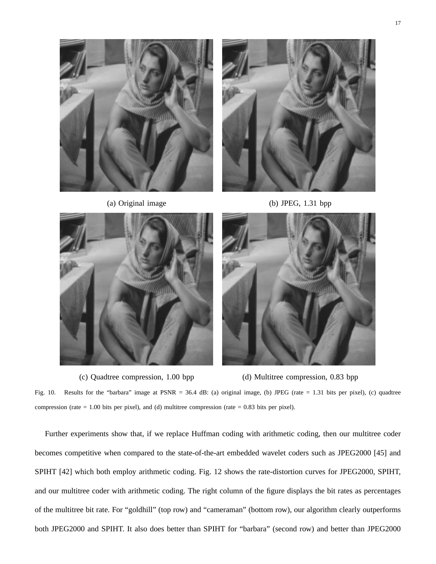



(a) Original image (b) JPEG, 1.31 bpp





(c) Quadtree compression, 1.00 bpp (d) Multitree compression, 0.83 bpp

Fig. 10. Results for the "barbara" image at PSNR = 36.4 dB: (a) original image, (b) JPEG (rate = 1.31 bits per pixel), (c) quadtree compression (rate  $= 1.00$  bits per pixel), and (d) multitree compression (rate  $= 0.83$  bits per pixel).

Further experiments show that, if we replace Huffman coding with arithmetic coding, then our multitree coder becomes competitive when compared to the state-of-the-art embedded wavelet coders such as JPEG2000 [45] and SPIHT [42] which both employ arithmetic coding. Fig. 12 shows the rate-distortion curves for JPEG2000, SPIHT, and our multitree coder with arithmetic coding. The right column of the figure displays the bit rates as percentages of the multitree bit rate. For "goldhill" (top row) and "cameraman" (bottom row), our algorithm clearly outperforms both JPEG2000 and SPIHT. It also does better than SPIHT for "barbara" (second row) and better than JPEG2000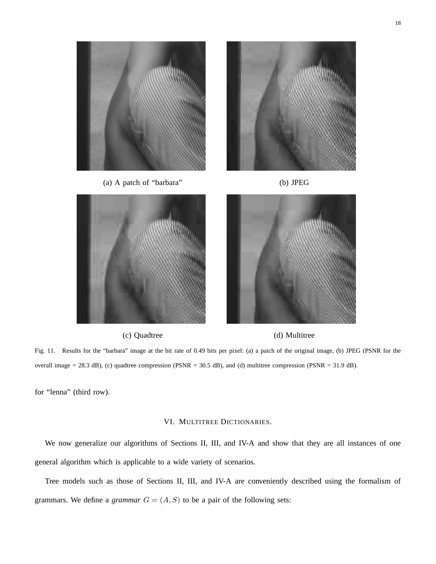



Fig. 11. Results for the "barbara" image at the bit rate of 0.49 bits per pixel: (a) a patch of the original image, (b) JPEG (PSNR for the overall image = 28.3 dB), (c) quadtree compression (PSNR = 30.5 dB), and (d) multitree compression (PSNR = 31.9 dB).

for "lenna" (third row).

#### VI. MULTITREE DICTIONARIES.

We now generalize our algorithms of Sections II, III, and IV-A and show that they are all instances of one general algorithm which is applicable to a wide variety of scenarios.

Tree models such as those of Sections II, III, and IV-A are conveniently described using the formalism of grammars. We define a *grammar*  $G = (A, S)$  to be a pair of the following sets: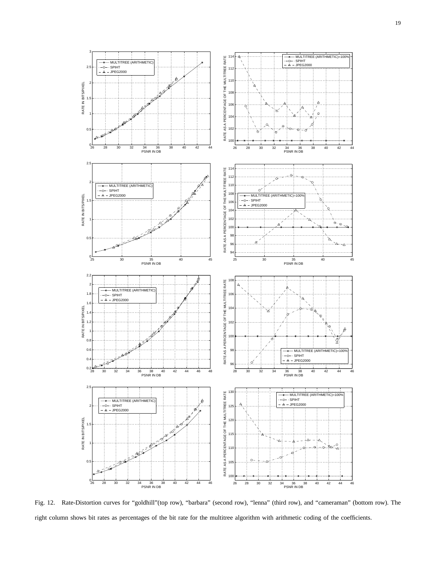

Fig. 12. Rate-Distortion curves for "goldhill"(top row), "barbara" (second row), "lenna" (third row), and "cameraman" (bottom row). The right column shows bit rates as percentages of the bit rate for the multitree algorithm with arithmetic coding of the coefficients.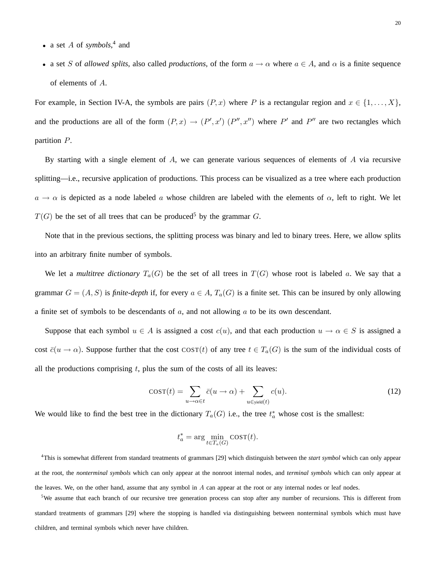- a set *A* of *symbols*,<sup>4</sup> and
- a set S of *allowed splits*, also called *productions*, of the form  $a \to \alpha$  where  $a \in A$ , and  $\alpha$  is a finite sequence of elements of A.

For example, in Section IV-A, the symbols are pairs  $(P, x)$  where P is a rectangular region and  $x \in \{1, ..., X\}$ , and the productions are all of the form  $(P, x) \rightarrow (P', x') (P'', x'')$  where P' and P'' are two rectangles which partition P.

By starting with a single element of  $A$ , we can generate various sequences of elements of  $A$  via recursive splitting—i.e., recursive application of productions. This process can be visualized as a tree where each production  $a \rightarrow \alpha$  is depicted as a node labeled a whose children are labeled with the elements of  $\alpha$ , left to right. We let  $T(G)$  be the set of all trees that can be produced<sup>5</sup> by the grammar G.

Note that in the previous sections, the splitting process was binary and led to binary trees. Here, we allow splits into an arbitrary finite number of symbols.

We let a *multitree dictionary*  $T_a(G)$  be the set of all trees in  $T(G)$  whose root is labeled a. We say that a grammar  $G = (A, S)$  is *finite-depth* if, for every  $a \in A$ ,  $T_a(G)$  is a finite set. This can be insured by only allowing a finite set of symbols to be descendants of  $a$ , and not allowing  $a$  to be its own descendant.

Suppose that each symbol  $u \in A$  is assigned a cost  $c(u)$ , and that each production  $u \to \alpha \in S$  is assigned a cost  $\bar{c}(u \to \alpha)$ . Suppose further that the cost COST(t) of any tree  $t \in T_a(G)$  is the sum of the individual costs of all the productions comprising  $t$ , plus the sum of the costs of all its leaves:

$$
cost(t) = \sum_{u \to \alpha \in t} \bar{c}(u \to \alpha) + \sum_{u \in \text{yield}(t)} c(u). \tag{12}
$$

We would like to find the best tree in the dictionary  $T_a(G)$  i.e., the tree  $t_a^*$  whose cost is the smallest:

$$
t_a^* = \arg\min_{t\in T_a(G)}\text{COST}(t).
$$

4 This is somewhat different from standard treatments of grammars [29] which distinguish between the *start symbol* which can only appear at the root, the *nonterminal symbols* which can only appear at the nonroot internal nodes, and *terminal symbols* which can only appear at the leaves. We, on the other hand, assume that any symbol in  $A$  can appear at the root or any internal nodes or leaf nodes.

<sup>5</sup>We assume that each branch of our recursive tree generation process can stop after any number of recursions. This is different from standard treatments of grammars [29] where the stopping is handled via distinguishing between nonterminal symbols which must have children, and terminal symbols which never have children.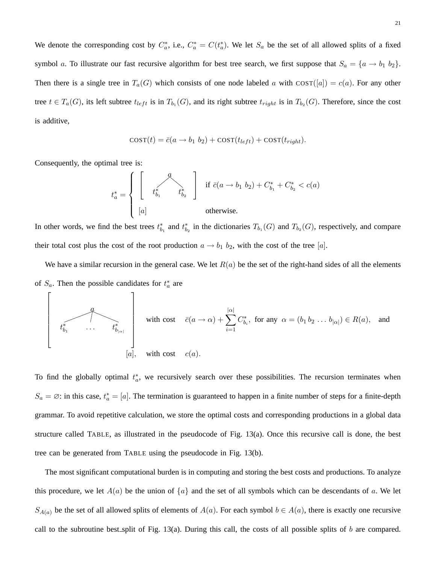We denote the corresponding cost by  $C_a^*$ , i.e.,  $C_a^* = C(t_a^*)$ . We let  $S_a$  be the set of all allowed splits of a fixed symbol a. To illustrate our fast recursive algorithm for best tree search, we first suppose that  $S_a = \{a \rightarrow b_1, b_2\}.$ Then there is a single tree in  $T_a(G)$  which consists of one node labeled a with  $\text{cos}T([a]) = c(a)$ . For any other tree  $t \in T_a(G)$ , its left subtree  $t_{left}$  is in  $T_{b_1}(G)$ , and its right subtree  $t_{right}$  is in  $T_{b_2}(G)$ . Therefore, since the cost is additive,

$$
cost(t) = \bar{c}(a \rightarrow b_1 b_2) + cost(t_{left}) + cost(t_{right}).
$$

Consequently, the optimal tree is:

Г

$$
t_a^* = \left\{\begin{array}{ccc} \left[\begin{array}{ccc} & \mathcal{A} \\ & & t_{b_1}^* & \\ & & t_{b_2}^* \end{array}\right] & \text{if } \bar{c}(a \rightarrow b_1 \; b_2) + C_{b_1}^* + C_{b_2}^* < c(a) \\ & \text{otherwise.} \end{array}\right.
$$

In other words, we find the best trees  $t_{b_1}^*$  and  $t_{b_2}^*$  in the dictionaries  $T_{b_1}(G)$  and  $T_{b_2}(G)$ , respectively, and compare their total cost plus the cost of the root production  $a \rightarrow b_1$   $b_2$ , with the cost of the tree [a].

We have a similar recursion in the general case. We let  $R(a)$  be the set of the right-hand sides of all the elements of  $S_a$ . Then the possible candidates for  $t_a^*$  are

with cost 
$$
\bar{c}(a \to \alpha) + \sum_{i=1}^{|\alpha|} C_{b_i}^*
$$
, for any  $\alpha = (b_1 b_2 ... b_{|\alpha|}) \in R(a)$ , and  
\n
$$
[a], \text{ with cost } c(a).
$$

To find the globally optimal  $t_a^*$ , we recursively search over these possibilities. The recursion terminates when  $S_a = \emptyset$ : in this case,  $t_a^* = [a]$ . The termination is guaranteed to happen in a finite number of steps for a finite-depth grammar. To avoid repetitive calculation, we store the optimal costs and corresponding productions in a global data structure called TABLE, as illustrated in the pseudocode of Fig. 13(a). Once this recursive call is done, the best tree can be generated from TABLE using the pseudocode in Fig. 13(b).

The most significant computational burden is in computing and storing the best costs and productions. To analyze this procedure, we let  $A(a)$  be the union of  $\{a\}$  and the set of all symbols which can be descendants of a. We let  $S_{A(a)}$  be the set of all allowed splits of elements of  $A(a)$ . For each symbol  $b \in A(a)$ , there is exactly one recursive call to the subroutine best split of Fig. 13(a). During this call, the costs of all possible splits of  $b$  are compared.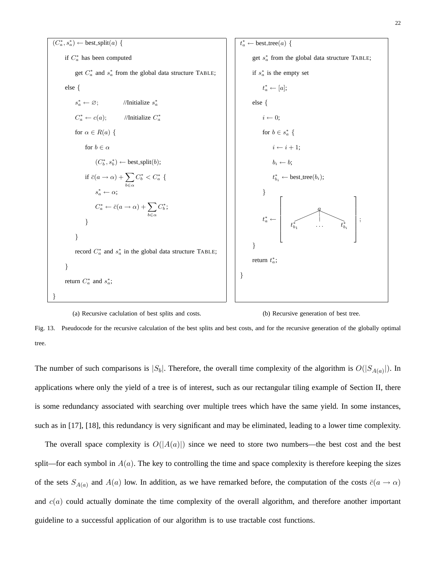| $(C_a^*, s_a^*) \leftarrow$ best.split(a) {\n        if $C_a^*$ has been computed<br>get $C_a^*$ and $s_a^*$ from the global data structure TABLE:<br>else {\n            if $s_a^* \leftarrow \emptyset$ ;\n            //Initialize $s_a^*$<br>else {\n                if $s_a^* \leftarrow \emptyset$ ;\n                //Initialize $S_a^*$<br>else {\n                if $s_a^* \leftarrow \emptyset$ ;\n                //Initialize $C_a^*$<br>else {\n                if $s_a^* \leftarrow \emptyset$ ;\n                }\n                else {\n                if $s_a^* \leftarrow \emptyset$ ;\n                else {\n                if $s_a^* \leftarrow \emptyset$ ;\n                if $\emptyset \leftarrow \emptyset$ ;\n                }\n                if $\emptyset \leftarrow \emptyset$ ;\n                if $\emptyset \leftarrow \emptyset$ ;\n                if $\emptyset \leftarrow \emptyset$ ;\n                if $\emptyset \leftarrow \emptyset$ ;\n                if $\emptyset \leftarrow \emptyset$ ;\n                if $\emptyset \leftarrow \emptyset$ ;\n                if $\emptyset \leftarrow \emptyset$ ;\n                if $\emptyset \leftarrow \emptyset$ ;\n                if $\emptyset \leftarrow \emptyset$ ;\n                if $\emptyset \leftarrow \emptyset$ ;\n                if $\emptyset \leftarrow \emptyset$ ;\n                if $\emptyset \leftarrow \emptyset$ ;\n                if $\emptyset \leftarrow \emptyset$ ;\n                if $\emptyset \leftarrow \emptyset$ ;\n                if $\emptyset \leftarrow \emptyset$ ;\n                if $\emptyset \leftarrow \emptyset$ ;\n                if $\emptyset \leftarrow \emptyset$ ;\n                if $\emptyset \leftarrow \emptyset$ ;\n                if $\emptyset \leftarrow \emptyset$ ;\n                if $\emptyset \leftarrow \emptyset$ ;\n                if $\emptyset \leftarrow \emptyset$ ;\n                if $\emptyset \leftarrow \emptyset$ ;\n                if $\emptyset \leftarrow \emptyset$ ;\n                if $\emptyset \leftarrow \emptyset$ ;\n                if $\emptyset \leftarrow \emptyset$ ;\n                if $\emptyset \leftarrow \emptyset$ ;\n                if $\emptyset \leftarrow \emptyset$ ;\n                if $\emptyset$ |
|--------------------------------------------------------------------------------------------------------------------------------------------------------------------------------------------------------------------------------------------------------------------------------------------------------------------------------------------------------------------------------------------------------------------------------------------------------------------------------------------------------------------------------------------------------------------------------------------------------------------------------------------------------------------------------------------------------------------------------------------------------------------------------------------------------------------------------------------------------------------------------------------------------------------------------------------------------------------------------------------------------------------------------------------------------------------------------------------------------------------------------------------------------------------------------------------------------------------------------------------------------------------------------------------------------------------------------------------------------------------------------------------------------------------------------------------------------------------------------------------------------------------------------------------------------------------------------------------------------------------------------------------------------------------------------------------------------------------------------------------------------------------------------------------------------------------------------------------------------------------------------------------------------------------------------------------------------------------------------------------------------------------------------------------------------------------------------------------------------------------------------------------------------------------------------------------------------------------------------------------------------------------------------------------------------------------------------------------------|
|--------------------------------------------------------------------------------------------------------------------------------------------------------------------------------------------------------------------------------------------------------------------------------------------------------------------------------------------------------------------------------------------------------------------------------------------------------------------------------------------------------------------------------------------------------------------------------------------------------------------------------------------------------------------------------------------------------------------------------------------------------------------------------------------------------------------------------------------------------------------------------------------------------------------------------------------------------------------------------------------------------------------------------------------------------------------------------------------------------------------------------------------------------------------------------------------------------------------------------------------------------------------------------------------------------------------------------------------------------------------------------------------------------------------------------------------------------------------------------------------------------------------------------------------------------------------------------------------------------------------------------------------------------------------------------------------------------------------------------------------------------------------------------------------------------------------------------------------------------------------------------------------------------------------------------------------------------------------------------------------------------------------------------------------------------------------------------------------------------------------------------------------------------------------------------------------------------------------------------------------------------------------------------------------------------------------------------------------------|

(a) Recursive caclulation of best splits and costs. (b) Recursive generation of best tree.

Fig. 13. Pseudocode for the recursive calculation of the best splits and best costs, and for the recursive generation of the globally optimal tree.

The number of such comparisons is  $|S_b|$ . Therefore, the overall time complexity of the algorithm is  $O(|S_{A(a)}|)$ . In applications where only the yield of a tree is of interest, such as our rectangular tiling example of Section II, there is some redundancy associated with searching over multiple trees which have the same yield. In some instances, such as in [17], [18], this redundancy is very significant and may be eliminated, leading to a lower time complexity.

The overall space complexity is  $O(|A(a)|)$  since we need to store two numbers—the best cost and the best split—for each symbol in  $A(a)$ . The key to controlling the time and space complexity is therefore keeping the sizes of the sets  $S_{A(a)}$  and  $A(a)$  low. In addition, as we have remarked before, the computation of the costs  $\bar{c}(a \to \alpha)$ and  $c(a)$  could actually dominate the time complexity of the overall algorithm, and therefore another important guideline to a successful application of our algorithm is to use tractable cost functions.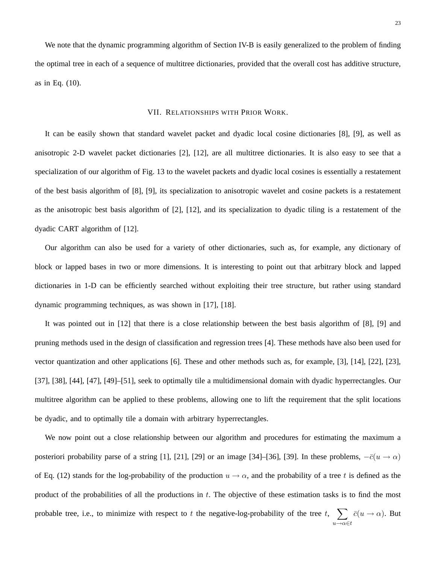We note that the dynamic programming algorithm of Section IV-B is easily generalized to the problem of finding the optimal tree in each of a sequence of multitree dictionaries, provided that the overall cost has additive structure, as in Eq. (10).

#### VII. RELATIONSHIPS WITH PRIOR WORK.

It can be easily shown that standard wavelet packet and dyadic local cosine dictionaries [8], [9], as well as anisotropic 2-D wavelet packet dictionaries [2], [12], are all multitree dictionaries. It is also easy to see that a specialization of our algorithm of Fig. 13 to the wavelet packets and dyadic local cosines is essentially a restatement of the best basis algorithm of [8], [9], its specialization to anisotropic wavelet and cosine packets is a restatement as the anisotropic best basis algorithm of [2], [12], and its specialization to dyadic tiling is a restatement of the dyadic CART algorithm of [12].

Our algorithm can also be used for a variety of other dictionaries, such as, for example, any dictionary of block or lapped bases in two or more dimensions. It is interesting to point out that arbitrary block and lapped dictionaries in 1-D can be efficiently searched without exploiting their tree structure, but rather using standard dynamic programming techniques, as was shown in [17], [18].

It was pointed out in [12] that there is a close relationship between the best basis algorithm of [8], [9] and pruning methods used in the design of classification and regression trees [4]. These methods have also been used for vector quantization and other applications [6]. These and other methods such as, for example, [3], [14], [22], [23], [37], [38], [44], [47], [49]–[51], seek to optimally tile a multidimensional domain with dyadic hyperrectangles. Our multitree algorithm can be applied to these problems, allowing one to lift the requirement that the split locations be dyadic, and to optimally tile a domain with arbitrary hyperrectangles.

We now point out a close relationship between our algorithm and procedures for estimating the maximum a posteriori probability parse of a string [1], [21], [29] or an image [34]–[36], [39]. In these problems,  $-\bar{c}(u \to \alpha)$ of Eq. (12) stands for the log-probability of the production  $u \to \alpha$ , and the probability of a tree t is defined as the product of the probabilities of all the productions in  $t$ . The objective of these estimation tasks is to find the most probable tree, i.e., to minimize with respect to t the negative-log-probability of the tree t,  $\sum$  $\sum_{u \to \alpha \in t} \bar{c}(u \to \alpha)$ . But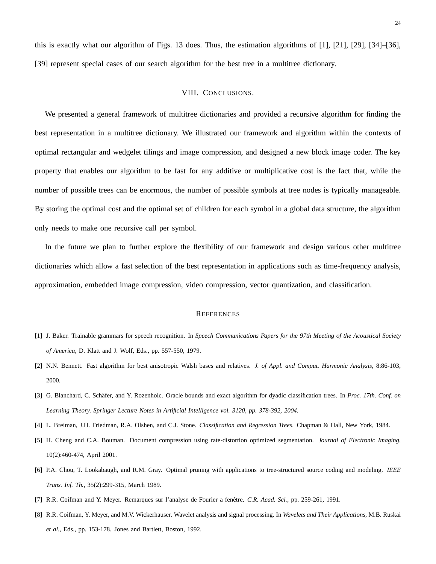this is exactly what our algorithm of Figs. 13 does. Thus, the estimation algorithms of [1], [21], [29], [34]–[36], [39] represent special cases of our search algorithm for the best tree in a multitree dictionary.

#### VIII. CONCLUSIONS.

We presented a general framework of multitree dictionaries and provided a recursive algorithm for finding the best representation in a multitree dictionary. We illustrated our framework and algorithm within the contexts of optimal rectangular and wedgelet tilings and image compression, and designed a new block image coder. The key property that enables our algorithm to be fast for any additive or multiplicative cost is the fact that, while the number of possible trees can be enormous, the number of possible symbols at tree nodes is typically manageable. By storing the optimal cost and the optimal set of children for each symbol in a global data structure, the algorithm only needs to make one recursive call per symbol.

In the future we plan to further explore the flexibility of our framework and design various other multitree dictionaries which allow a fast selection of the best representation in applications such as time-frequency analysis, approximation, embedded image compression, video compression, vector quantization, and classification.

#### **REFERENCES**

- [1] J. Baker. Trainable grammars for speech recognition. In *Speech Communications Papers for the 97th Meeting of the Acoustical Society of America*, D. Klatt and J. Wolf, Eds., pp. 557-550, 1979.
- [2] N.N. Bennett. Fast algorithm for best anisotropic Walsh bases and relatives. *J. of Appl. and Comput. Harmonic Analysis*, 8:86-103, 2000.
- [3] G. Blanchard, C. Schäfer, and Y. Rozenholc. Oracle bounds and exact algorithm for dyadic classification trees. In *Proc. 17th. Conf. on Learning Theory. Springer Lecture Notes in Artificial Intelligence vol. 3120, pp. 378-392, 2004.*
- [4] L. Breiman, J.H. Friedman, R.A. Olshen, and C.J. Stone. *Classification and Regression Trees.* Chapman & Hall, New York, 1984.
- [5] H. Cheng and C.A. Bouman. Document compression using rate-distortion optimized segmentation. *Journal of Electronic Imaging*, 10(2):460-474, April 2001.
- [6] P.A. Chou, T. Lookabaugh, and R.M. Gray. Optimal pruning with applications to tree-structured source coding and modeling. *IEEE Trans. Inf. Th.*, 35(2):299-315, March 1989.
- [7] R.R. Coifman and Y. Meyer. Remarques sur l'analyse de Fourier a fenetre. ˆ *C.R. Acad. Sci.*, pp. 259-261, 1991.
- [8] R.R. Coifman, Y. Meyer, and M.V. Wickerhauser. Wavelet analysis and signal processing. In *Wavelets and Their Applications*, M.B. Ruskai *et al.*, Eds., pp. 153-178. Jones and Bartlett, Boston, 1992.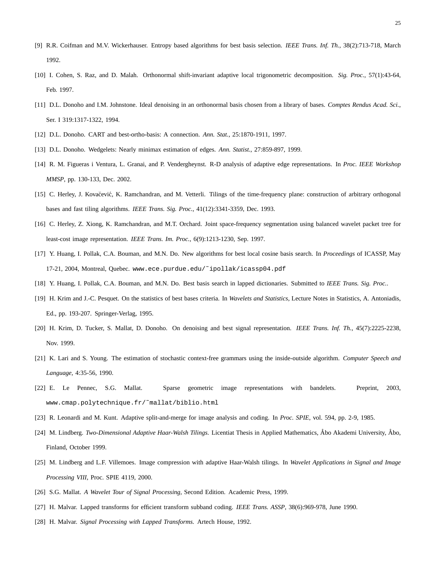- [9] R.R. Coifman and M.V. Wickerhauser. Entropy based algorithms for best basis selection. *IEEE Trans. Inf. Th.*, 38(2):713-718, March 1992.
- [10] I. Cohen, S. Raz, and D. Malah. Orthonormal shift-invariant adaptive local trigonometric decomposition. *Sig. Proc.*, 57(1):43-64, Feb. 1997.
- [11] D.L. Donoho and I.M. Johnstone. Ideal denoising in an orthonormal basis chosen from a library of bases. *Comptes Rendus Acad. Sci.*, Ser. I 319:1317-1322, 1994.
- [12] D.L. Donoho. CART and best-ortho-basis: A connection. *Ann. Stat.*, 25:1870-1911, 1997.
- [13] D.L. Donoho. Wedgelets: Nearly minimax estimation of edges. *Ann. Statist.*, 27:859-897, 1999.
- [14] R. M. Figueras i Ventura, L. Granai, and P. Vendergheynst. R-D analysis of adaptive edge representations. In *Proc. IEEE Workshop MMSP*, pp. 130-133, Dec. 2002.
- [15] C. Herley, J. Kovačević, K. Ramchandran, and M. Vetterli. Tilings of the time-frequency plane: construction of arbitrary orthogonal bases and fast tiling algorithms. *IEEE Trans. Sig. Proc.*, 41(12):3341-3359, Dec. 1993.
- [16] C. Herley, Z. Xiong, K. Ramchandran, and M.T. Orchard. Joint space-frequency segmentation using balanced wavelet packet tree for least-cost image representation. *IEEE Trans. Im. Proc.*, 6(9):1213-1230, Sep. 1997.
- [17] Y. Huang, I. Pollak, C.A. Bouman, and M.N. Do. New algorithms for best local cosine basis search. In *Proceedings* of ICASSP, May 17-21, 2004, Montreal, Quebec. www.ece.purdue.edu/˜ipollak/icassp04.pdf
- [18] Y. Huang, I. Pollak, C.A. Bouman, and M.N. Do. Best basis search in lapped dictionaries. Submitted to *IEEE Trans. Sig. Proc.*.
- [19] H. Krim and J.-C. Pesquet. On the statistics of best bases criteria. In *Wavelets and Statistics*, Lecture Notes in Statistics, A. Antoniadis, Ed., pp. 193-207. Springer-Verlag, 1995.
- [20] H. Krim, D. Tucker, S. Mallat, D. Donoho. On denoising and best signal representation. *IEEE Trans. Inf. Th.*, 45(7):2225-2238, Nov. 1999.
- [21] K. Lari and S. Young. The estimation of stochastic context-free grammars using the inside-outside algorithm. *Computer Speech and Language*, 4:35-56, 1990.
- [22] E. Le Pennec, S.G. Mallat. Sparse geometric image representations with bandelets. Preprint, 2003, www.cmap.polytechnique.fr/˜mallat/biblio.html
- [23] R. Leonardi and M. Kunt. Adaptive split-and-merge for image analysis and coding. In *Proc. SPIE*, vol. 594, pp. 2-9, 1985.
- [24] M. Lindberg. *Two-Dimensional Adaptive Haar-Walsh Tilings*. Licentiat Thesis in Applied Mathematics, Åbo Akademi University, Åbo, Finland, October 1999.
- [25] M. Lindberg and L.F. Villemoes. Image compression with adaptive Haar-Walsh tilings. In *Wavelet Applications in Signal and Image Processing VIII*, Proc. SPIE 4119, 2000.
- [26] S.G. Mallat. *A Wavelet Tour of Signal Processing,* Second Edition. Academic Press, 1999.
- [27] H. Malvar. Lapped transforms for efficient transform subband coding. *IEEE Trans. ASSP*, 38(6):969-978, June 1990.
- [28] H. Malvar. *Signal Processing with Lapped Transforms.* Artech House, 1992.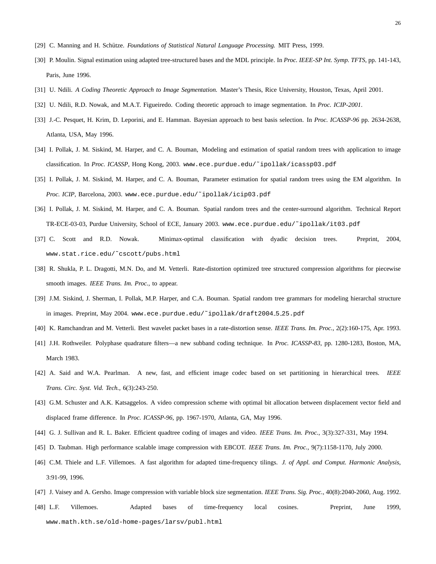- [29] C. Manning and H. Schütze. *Foundations of Statistical Natural Language Processing*. MIT Press, 1999.
- [30] P. Moulin. Signal estimation using adapted tree-structured bases and the MDL principle. In *Proc. IEEE-SP Int. Symp. TFTS*, pp. 141-143, Paris, June 1996.
- [31] U. Ndili. *A Coding Theoretic Approach to Image Segmentation.* Master's Thesis, Rice University, Houston, Texas, April 2001.
- [32] U. Ndili, R.D. Nowak, and M.A.T. Figueiredo. Coding theoretic approach to image segmentation. In *Proc. ICIP-2001*.
- [33] J.-C. Pesquet, H. Krim, D. Leporini, and E. Hamman. Bayesian approach to best basis selection. In *Proc. ICASSP-96* pp. 2634-2638, Atlanta, USA, May 1996.
- [34] I. Pollak, J. M. Siskind, M. Harper, and C. A. Bouman, Modeling and estimation of spatial random trees with application to image classification. In *Proc. ICASSP*, Hong Kong, 2003. www.ece.purdue.edu/~ipollak/icassp03.pdf
- [35] I. Pollak, J. M. Siskind, M. Harper, and C. A. Bouman, Parameter estimation for spatial random trees using the EM algorithm. In *Proc. ICIP*, Barcelona, 2003. www.ece.purdue.edu/˜ipollak/icip03.pdf
- [36] I. Pollak, J. M. Siskind, M. Harper, and C. A. Bouman. Spatial random trees and the center-surround algorithm. Technical Report TR-ECE-03-03, Purdue University, School of ECE, January 2003. www.ece.purdue.edu/˜ipollak/it03.pdf
- [37] C. Scott and R.D. Nowak. Minimax-optimal classification with dyadic decision trees. Preprint, 2004, www.stat.rice.edu/˜cscott/pubs.html
- [38] R. Shukla, P. L. Dragotti, M.N. Do, and M. Vetterli. Rate-distortion optimized tree structured compression algorithms for piecewise smooth images. *IEEE Trans. Im. Proc.*, to appear.
- [39] J.M. Siskind, J. Sherman, I. Pollak, M.P. Harper, and C.A. Bouman. Spatial random tree grammars for modeling hierarchal structure in images. Preprint, May 2004. www.ece.purdue.edu/~ipollak/draft2004\_5\_25.pdf
- [40] K. Ramchandran and M. Vetterli. Best wavelet packet bases in a rate-distortion sense. *IEEE Trans. Im. Proc.*, 2(2):160-175, Apr. 1993.
- [41] J.H. Rothweiler. Polyphase quadrature filters—a new subband coding technique. In *Proc. ICASSP-83*, pp. 1280-1283, Boston, MA, March 1983.
- [42] A. Said and W.A. Pearlman. A new, fast, and efficient image codec based on set partitioning in hierarchical trees. *IEEE Trans. Circ. Syst. Vid. Tech.*, 6(3):243-250.
- [43] G.M. Schuster and A.K. Katsaggelos. A video compression scheme with optimal bit allocation between displacement vector field and displaced frame difference. In *Proc. ICASSP-96*, pp. 1967-1970, Atlanta, GA, May 1996.
- [44] G. J. Sullivan and R. L. Baker. Efficient quadtree coding of images and video. *IEEE Trans. Im. Proc.*, 3(3):327-331, May 1994.
- [45] D. Taubman. High performance scalable image compression with EBCOT. *IEEE Trans. Im. Proc.*, 9(7):1158-1170, July 2000.
- [46] C.M. Thiele and L.F. Villemoes. A fast algorithm for adapted time-frequency tilings. *J. of Appl. and Comput. Harmonic Analysis*, 3:91-99, 1996.
- [47] J. Vaisey and A. Gersho. Image compression with variable block size segmentation. *IEEE Trans. Sig. Proc.*, 40(8):2040-2060, Aug. 1992.
- [48] L.F. Villemoes. Adapted bases of time-frequency local cosines. Preprint, June 1999, www.math.kth.se/old-home-pages/larsv/publ.html